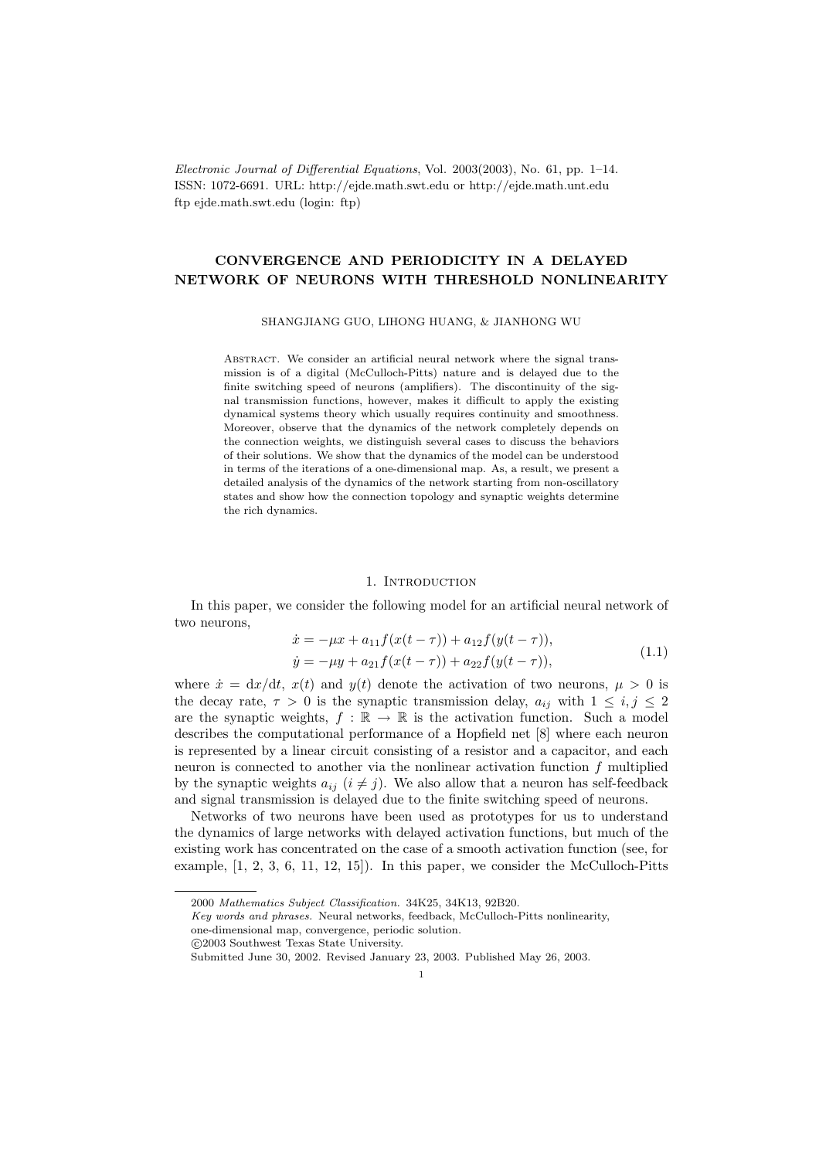Electronic Journal of Differential Equations, Vol. 2003(2003), No. 61, pp. 1–14. ISSN: 1072-6691. URL: http://ejde.math.swt.edu or http://ejde.math.unt.edu ftp ejde.math.swt.edu (login: ftp)

# CONVERGENCE AND PERIODICITY IN A DELAYED NETWORK OF NEURONS WITH THRESHOLD NONLINEARITY

SHANGJIANG GUO, LIHONG HUANG, & JIANHONG WU

ABSTRACT. We consider an artificial neural network where the signal transmission is of a digital (McCulloch-Pitts) nature and is delayed due to the finite switching speed of neurons (amplifiers). The discontinuity of the signal transmission functions, however, makes it difficult to apply the existing dynamical systems theory which usually requires continuity and smoothness. Moreover, observe that the dynamics of the network completely depends on the connection weights, we distinguish several cases to discuss the behaviors of their solutions. We show that the dynamics of the model can be understood in terms of the iterations of a one-dimensional map. As, a result, we present a detailed analysis of the dynamics of the network starting from non-oscillatory states and show how the connection topology and synaptic weights determine the rich dynamics.

## 1. INTRODUCTION

In this paper, we consider the following model for an artificial neural network of two neurons,

$$
\begin{aligned} \dot{x} &= -\mu x + a_{11} f(x(t-\tau)) + a_{12} f(y(t-\tau)), \\ \dot{y} &= -\mu y + a_{21} f(x(t-\tau)) + a_{22} f(y(t-\tau)), \end{aligned} \tag{1.1}
$$

where  $\dot{x} = dx/dt$ ,  $x(t)$  and  $y(t)$  denote the activation of two neurons,  $\mu > 0$  is the decay rate,  $\tau > 0$  is the synaptic transmission delay,  $a_{ij}$  with  $1 \leq i, j \leq 2$ are the synaptic weights,  $f : \mathbb{R} \to \mathbb{R}$  is the activation function. Such a model describes the computational performance of a Hopfield net [8] where each neuron is represented by a linear circuit consisting of a resistor and a capacitor, and each neuron is connected to another via the nonlinear activation function f multiplied by the synaptic weights  $a_{ij}$   $(i \neq j)$ . We also allow that a neuron has self-feedback and signal transmission is delayed due to the finite switching speed of neurons.

Networks of two neurons have been used as prototypes for us to understand the dynamics of large networks with delayed activation functions, but much of the existing work has concentrated on the case of a smooth activation function (see, for example, [1, 2, 3, 6, 11, 12, 15]). In this paper, we consider the McCulloch-Pitts

<sup>2000</sup> Mathematics Subject Classification. 34K25, 34K13, 92B20.

Key words and phrases. Neural networks, feedback, McCulloch-Pitts nonlinearity,

one-dimensional map, convergence, periodic solution.

c 2003 Southwest Texas State University.

Submitted June 30, 2002. Revised January 23, 2003. Published May 26, 2003.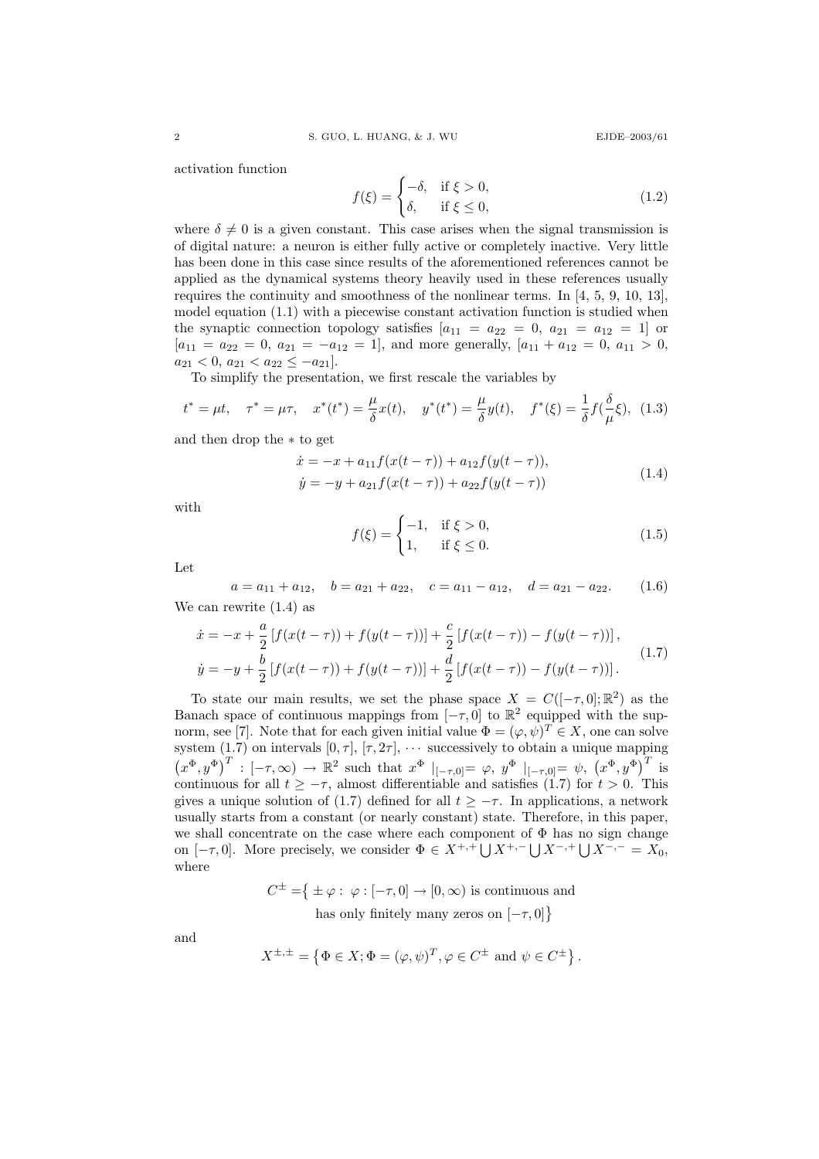activation function

$$
f(\xi) = \begin{cases} -\delta, & \text{if } \xi > 0, \\ \delta, & \text{if } \xi \le 0, \end{cases}
$$
 (1.2)

where  $\delta \neq 0$  is a given constant. This case arises when the signal transmission is of digital nature: a neuron is either fully active or completely inactive. Very little has been done in this case since results of the aforementioned references cannot be applied as the dynamical systems theory heavily used in these references usually requires the continuity and smoothness of the nonlinear terms. In [4, 5, 9, 10, 13], model equation (1.1) with a piecewise constant activation function is studied when the synaptic connection topology satisfies  $a_{11} = a_{22} = 0, a_{21} = a_{12} = 1$  or  $[a_{11} = a_{22} = 0, a_{21} = -a_{12} = 1]$ , and more generally,  $[a_{11} + a_{12} = 0, a_{11} > 0,$  $a_{21} < 0, a_{21} < a_{22} \le -a_{21}$ .

To simplify the presentation, we first rescale the variables by

$$
t^* = \mu t
$$
,  $\tau^* = \mu \tau$ ,  $x^*(t^*) = \frac{\mu}{\delta} x(t)$ ,  $y^*(t^*) = \frac{\mu}{\delta} y(t)$ ,  $f^*(\xi) = \frac{1}{\delta} f(\frac{\delta}{\mu}\xi)$ , (1.3)

and then drop the ∗ to get

$$
\begin{aligned} \dot{x} &= -x + a_{11}f(x(t-\tau)) + a_{12}f(y(t-\tau)), \\ \dot{y} &= -y + a_{21}f(x(t-\tau)) + a_{22}f(y(t-\tau)) \end{aligned} \tag{1.4}
$$

with

$$
f(\xi) = \begin{cases} -1, & \text{if } \xi > 0, \\ 1, & \text{if } \xi \le 0. \end{cases}
$$
 (1.5)

Let

 $a = a_{11} + a_{12}, \quad b = a_{21} + a_{22}, \quad c = a_{11} - a_{12}, \quad d = a_{21} - a_{22}.$  (1.6) We can rewrite (1.4) as

$$
\begin{aligned}\n\dot{x} &= -x + \frac{a}{2} \left[ f(x(t-\tau)) + f(y(t-\tau)) \right] + \frac{c}{2} \left[ f(x(t-\tau)) - f(y(t-\tau)) \right], \\
\dot{y} &= -y + \frac{b}{2} \left[ f(x(t-\tau)) + f(y(t-\tau)) \right] + \frac{d}{2} \left[ f(x(t-\tau)) - f(y(t-\tau)) \right].\n\end{aligned} \tag{1.7}
$$

To state our main results, we set the phase space  $X = C([- \tau, 0]; \mathbb{R}^2)$  as the Banach space of continuous mappings from  $[-\tau, 0]$  to  $\mathbb{R}^2$  equipped with the supnorm, see [7]. Note that for each given initial value  $\Phi = (\varphi, \psi)^T \in X$ , one can solve system (1.7) on intervals  $[0, \tau]$ ,  $[\tau, 2\tau]$ ,  $\cdots$  successively to obtain a unique mapping  $(x^{\Phi}, y^{\Phi})^T : [-\tau, \infty) \to \mathbb{R}^2$  such that  $x^{\Phi} \mid_{[-\tau, 0]} = \varphi, y^{\Phi} \mid_{[-\tau, 0]} = \psi, (x^{\Phi}, y^{\Phi})^T$  is continuous for all  $t \geq -\tau$ , almost differentiable and satisfies (1.7) for  $t > 0$ . This gives a unique solution of (1.7) defined for all  $t \geq -\tau$ . In applications, a network usually starts from a constant (or nearly constant) state. Therefore, in this paper, we shall concentrate on the case where each component of  $\Phi$  has no sign change on  $[-\tau, 0]$ . More precisely, we consider  $\Phi \in X^{+,+} \cup X^{+,-} \cup X^{-,+} \cup X^{-,-} = X_0$ , where

$$
C^{\pm} = \{ \pm \varphi : \varphi : [-\tau, 0] \to [0, \infty) \text{ is continuous and}
$$
  
has only finitely many zeros on  $[-\tau, 0]$ 

and

$$
X^{\pm,\pm} = \left\{ \Phi \in X; \Phi = (\varphi, \psi)^T, \varphi \in C^{\pm} \text{ and } \psi \in C^{\pm} \right\}.
$$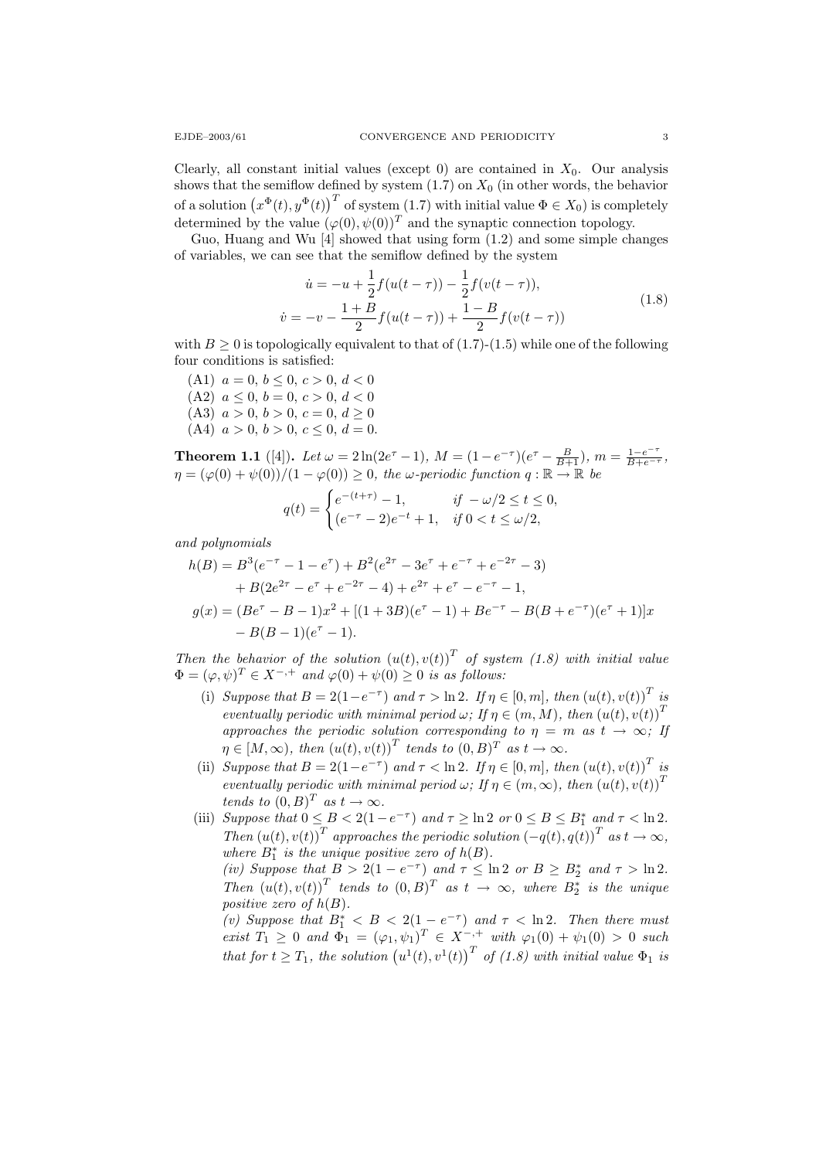Clearly, all constant initial values (except 0) are contained in  $X_0$ . Our analysis shows that the semiflow defined by system  $(1.7)$  on  $X_0$  (in other words, the behavior of a solution  $(x^{\Phi}(t), y^{\Phi}(t))^T$  of system (1.7) with initial value  $\Phi \in X_0$ ) is completely determined by the value  $(\varphi(0), \psi(0))^T$  and the synaptic connection topology.

Guo, Huang and Wu [4] showed that using form (1.2) and some simple changes of variables, we can see that the semiflow defined by the system

$$
\dot{u} = -u + \frac{1}{2}f(u(t-\tau)) - \frac{1}{2}f(v(t-\tau)),
$$
  

$$
\dot{v} = -v - \frac{1+B}{2}f(u(t-\tau)) + \frac{1-B}{2}f(v(t-\tau))
$$
\n(1.8)

with  $B \geq 0$  is topologically equivalent to that of  $(1.7)-(1.5)$  while one of the following four conditions is satisfied:

(A1)  $a = 0, b \le 0, c > 0, d < 0$ (A2)  $a \leq 0, b = 0, c > 0, d < 0$ (A3)  $a > 0, b > 0, c = 0, d \ge 0$ (A4)  $a > 0, b > 0, c \le 0, d = 0.$ 

**Theorem 1.1** ([4]). Let  $\omega = 2\ln(2e^{\tau} - 1)$ ,  $M = (1 - e^{-\tau})(e^{\tau} - \frac{B}{B+1})$ ,  $m = \frac{1 - e^{-\tau}}{B+e^{-\tau}}$ ,  $\eta = (\varphi(0) + \psi(0)) / (1 - \varphi(0)) \geq 0$ , the w-periodic function  $q : \mathbb{R} \to \mathbb{R}$  be

$$
q(t) = \begin{cases} e^{-(t+\tau)} - 1, & \text{if } -\omega/2 \le t \le 0, \\ (e^{-\tau} - 2)e^{-t} + 1, & \text{if } 0 < t \le \omega/2, \end{cases}
$$

and polynomials

$$
h(B) = B3(e-\tau - 1 - e\tau) + B2(e2\tau - 3e\tau + e-\tau + e-2\tau - 3)+ B(2e2\tau - e\tau + e-2\tau - 4) + e2\tau + e\tau - e-\tau - 1,
$$
g(x) = (Be\tau - B - 1)x2 + [(1 + 3B)(e\tau - 1) + Be-\tau - B(B + e-\tau)(e\tau + 1)]x
$$

$$
- B(B - 1)(e\tau - 1).
$$
$$

Then the behavior of the solution  $(u(t), v(t))^T$  of system (1.8) with initial value  $\Phi = (\varphi, \psi)^T \in X^{-,+}$  and  $\varphi(0) + \psi(0) \geq 0$  is as follows:

- (i) Suppose that  $B = 2(1-e^{-\tau})$  and  $\tau > \ln 2$ . If  $\eta \in [0, m]$ , then  $(u(t), v(t))^T$  is eventually periodic with minimal period  $\omega$ ; If  $\eta \in (m, M)$ , then  $(u(t), v(t))^T$ approaches the periodic solution corresponding to  $\eta = m$  as  $t \to \infty$ ; If  $\eta \in [M,\infty)$ , then  $(u(t),v(t))^T$  tends to  $(0,B)^T$  as  $t \to \infty$ .
- (ii) Suppose that  $B = 2(1-e^{-\tau})$  and  $\tau < \ln 2$ . If  $\eta \in [0, m]$ , then  $(u(t), v(t))^T$  is eventually periodic with minimal period  $\omega$ ; If  $\eta \in (m, \infty)$ , then  $(u(t), v(t))^T$ tends to  $(0, B)^T$  as  $t \to \infty$ .
- (iii) Suppose that  $0 \leq B < 2(1-e^{-\tau})$  and  $\tau \geq \ln 2$  or  $0 \leq B \leq B_1^*$  and  $\tau < \ln 2$ . Then  $(u(t), v(t))^T$  approaches the periodic solution  $(-q(t), q(t))^T$  as  $t \to \infty$ , where  $B_1^*$  is the unique positive zero of  $h(B)$ . where  $B_1$  is the unique positive zero of  $h(D)$ .<br>(iv) Suppose that  $B > 2(1 - e^{-\tau})$  and  $\tau \leq \ln 2$  or  $B \geq B_2^*$  and  $\tau > \ln 2$ . Then  $(u(t), v(t))^T$  tends to  $(0, B)^T$  as  $t \to \infty$ , where  $B_2^*$  is the unique positive zero of  $h(B)$ .

(v) Suppose that  $B_1^* < B < 2(1 - e^{-\tau})$  and  $\tau < \ln 2$ . Then there must exist  $T_1 \geq 0$  and  $\Phi_1 = (\varphi_1, \psi_1)^T \in X^{-,+}$  with  $\varphi_1(0) + \psi_1(0) > 0$  such that for  $t \geq T_1$ , the solution  $(u^1(t), v^1(t))^T$  of (1.8) with initial value  $\Phi_1$  is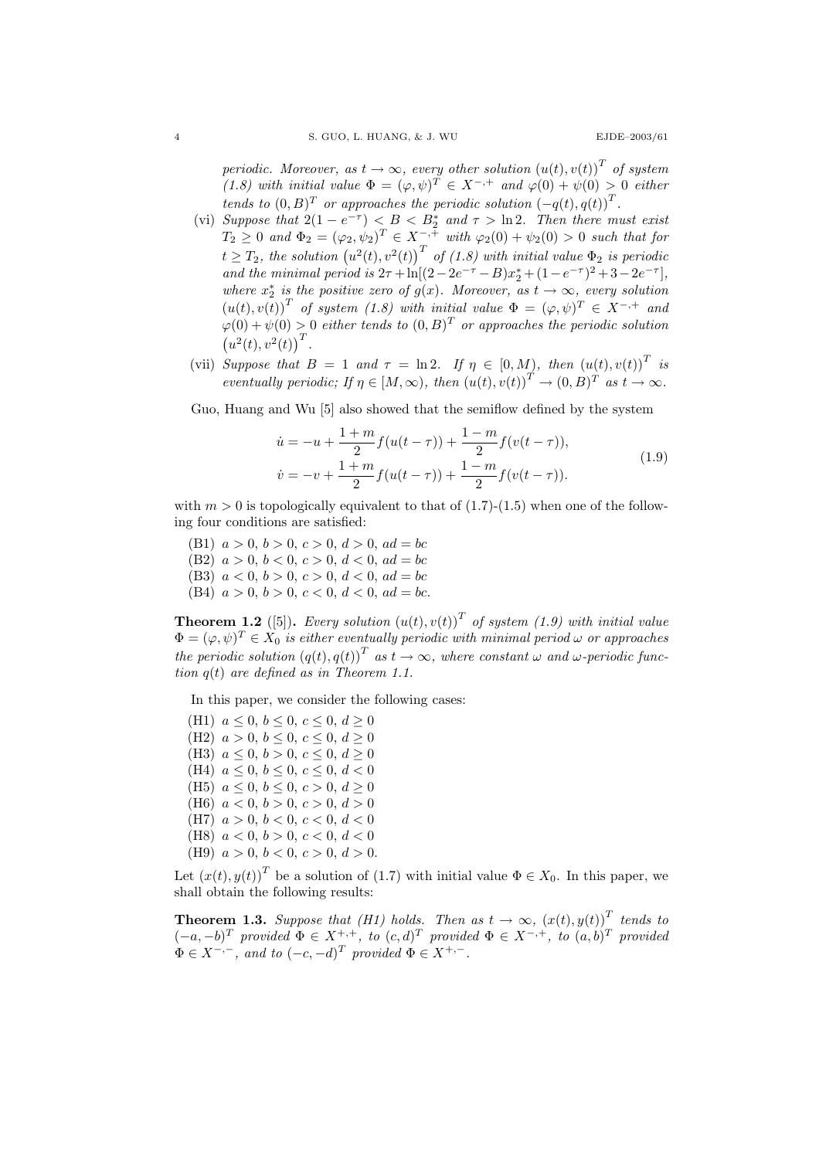periodic. Moreover, as  $t \to \infty$ , every other solution  ${(u(t), v(t))}^T$  of system (1.8) with initial value  $\Phi = (\varphi, \psi)^T \in X^{-,+}$  and  $\varphi(0) + \psi(0) > 0$  either tends to  $(0, B)^T$  or approaches the periodic solution  $(-q(t), q(t))^T$ .

- (vi) Suppose that  $2(1-e^{-\tau}) < B < B_2^*$  and  $\tau > \ln 2$ . Then there must exist  $T_2 \geq 0$  and  $\Phi_2 = (\varphi_2, \psi_2)^T \in X^{-,+}$  with  $\varphi_2(0) + \psi_2(0) > 0$  such that for  $t \geq T_2$ , the solution  $\left(u^2(t), v^2(t)\right)^T$  of (1.8) with initial value  $\Phi_2$  is periodic and the minimal period is  $2\tau + \ln[(2 - 2e^{-\tau} - B)x_2^* + (1 - e^{-\tau})^2 + 3 - 2e^{-\tau}],$ where  $x_2^*$  is the positive zero of  $g(x)$ . Moreover, as  $t \to \infty$ , every solution  $(u(t),v(t))^T$  of system (1.8) with initial value  $\Phi = (\varphi,\psi)^T \in X^{-,+}$  and  $\varphi(0) + \psi(0) > 0$  either tends to  $(0, B)^T$  or approaches the periodic solution  $(u^2(t), v^2(t))^T$ .
- (vii) Suppose that  $B = 1$  and  $\tau = \ln 2$ . If  $\eta \in [0, M)$ , then  $(u(t), v(t))^T$  is eventually periodic; If  $\eta \in [M, \infty)$ , then  $(u(t), v(t))^T \to (0, B)^T$  as  $t \to \infty$ .

Guo, Huang and Wu [5] also showed that the semiflow defined by the system

$$
\begin{aligned}\n\dot{u} &= -u + \frac{1+m}{2} f(u(t-\tau)) + \frac{1-m}{2} f(v(t-\tau)), \\
\dot{v} &= -v + \frac{1+m}{2} f(u(t-\tau)) + \frac{1-m}{2} f(v(t-\tau)).\n\end{aligned} \tag{1.9}
$$

with  $m > 0$  is topologically equivalent to that of (1.7)-(1.5) when one of the following four conditions are satisfied:

(B1)  $a > 0, b > 0, c > 0, d > 0, ad = bc$ (B2)  $a > 0, b < 0, c > 0, d < 0, ad = bc$ (B3)  $a < 0, b > 0, c > 0, d < 0, ad = bc$ (B4)  $a > 0, b > 0, c < 0, d < 0, ad = bc$ .

**Theorem 1.2** ([5]). Every solution  $(u(t), v(t))^T$  of system (1.9) with initial value  $\Phi=(\varphi,\psi)^T\in X_0$  is either eventually periodic with minimal period  $\omega$  or approaches the periodic solution  $(q(t), q(t))^T$  as  $t \to \infty$ , where constant  $\omega$  and  $\omega$ -periodic function  $q(t)$  are defined as in Theorem 1.1.

In this paper, we consider the following cases:

(H1)  $a \leq 0, b \leq 0, c \leq 0, d \geq 0$ (H2)  $a > 0, b \le 0, c \le 0, d \ge 0$ (H3)  $a \leq 0, b > 0, c \leq 0, d \geq 0$ (H4)  $a \le 0, b \le 0, c \le 0, d < 0$ (H5)  $a \leq 0, b \leq 0, c > 0, d \geq 0$ (H6)  $a < 0, b > 0, c > 0, d > 0$ (H7)  $a > 0, b < 0, c < 0, d < 0$ (H8)  $a < 0, b > 0, c < 0, d < 0$ (H9)  $a > 0, b < 0, c > 0, d > 0.$ 

Let  $(x(t), y(t))^T$  be a solution of (1.7) with initial value  $\Phi \in X_0$ . In this paper, we shall obtain the following results:

**Theorem 1.3.** Suppose that (H1) holds. Then as  $t \to \infty$ ,  $(x(t), y(t))^T$  tends to  $(-a, -b)^T$  provided  $\Phi \in X^{+, +}$ , to  $(c, d)^T$  provided  $\Phi \in X^{-, +}$ , to  $(a, b)^T$  provided  $\Phi \in X^{-,-}$ , and to  $(-c, -d)^T$  provided  $\Phi \in X^{+,-}$ .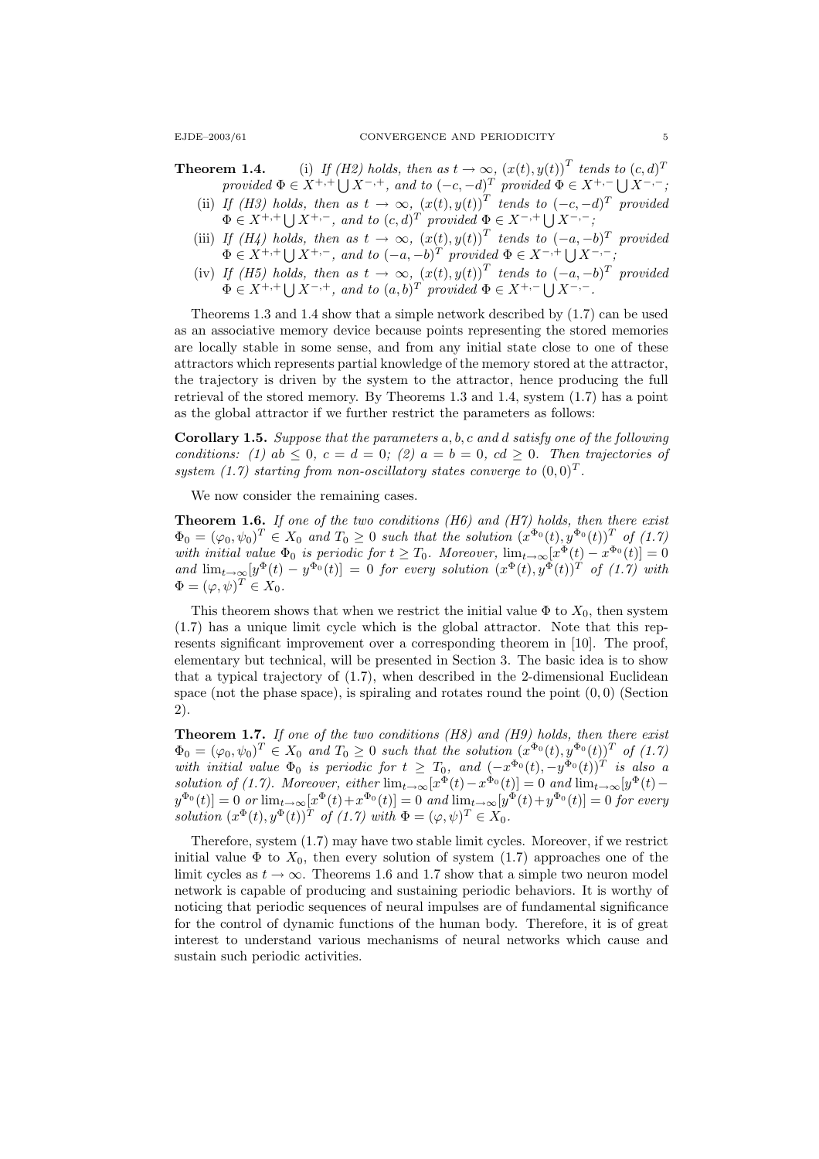**Theorem 1.4.** (i) If (H2) holds, then as  $t \to \infty$ ,  $(x(t), y(t))^T$  tends to  $(c, d)^T$ 

- provided  $\Phi \in X^{+,+} \bigcup X^{-,+}$ , and to  $(-c, -d)^T$  provided  $\Phi \in X^{+,-} \bigcup X^{-,-}$ ; (ii) If (H3) holds, then as  $t \to \infty$ ,  $(x(t), y(t))^T$  tends to  $(-c, -d)^T$  provided
- $\Phi \in X^{+,+} \bigcup X^{+,-}$ , and to  $(c,d)^T$  provided  $\Phi \in X^{-,+} \bigcup X^{-,-}$ ; (iii) If (H4) holds, then as  $t \to \infty$ ,  $(x(t), y(t))^T$  tends to  $(-a, -b)^T$  provided  $\Phi \in X^{+,+} \bigcup X^{+,-}$ , and to  $(-a, -b)^T$  provided  $\Phi \in X^{-,+} \bigcup X^{-,-}$ ;
- (iv) If (H5) holds, then as  $t \to \infty$ ,  $(x(t), y(t))^T$  tends to  $(-a, -b)^T$  provided  $\Phi \in X^{+,+} \bigcup X^{-,+},$  and to  $(a, b)^T$  provided  $\Phi \in X^{+,-} \bigcup X^{-,-}$ .

Theorems 1.3 and 1.4 show that a simple network described by (1.7) can be used as an associative memory device because points representing the stored memories are locally stable in some sense, and from any initial state close to one of these attractors which represents partial knowledge of the memory stored at the attractor, the trajectory is driven by the system to the attractor, hence producing the full retrieval of the stored memory. By Theorems 1.3 and 1.4, system (1.7) has a point as the global attractor if we further restrict the parameters as follows:

**Corollary 1.5.** Suppose that the parameters  $a, b, c$  and  $d$  satisfy one of the following conditions: (1) ab  $\leq 0$ ,  $c = d = 0$ ; (2)  $a = b = 0$ ,  $cd \geq 0$ . Then trajectories of system (1.7) starting from non-oscillatory states converge to  $(0,0)^T$ .

We now consider the remaining cases.

**Theorem 1.6.** If one of the two conditions (H6) and (H7) holds, then there exist  $\Phi_0 = (\varphi_0, \psi_0)^T \in X_0$  and  $T_0 \geq 0$  such that the solution  $(x^{\Phi_0}(t), y^{\Phi_0}(t))^T$  of  $(1.7)$ with initial value  $\Phi_0$  is periodic for  $t \geq T_0$ . Moreover,  $\lim_{t \to \infty} [x^{\Phi}(t) - x^{\Phi_0}(t)] = 0$ and  $\lim_{t\to\infty} [y^{\Phi}(t) - y^{\Phi_0}(t)] = 0$  for every solution  $(x^{\Phi}(t), y^{\Phi}(t))^T$  of  $(1.7)$  with  $\Phi = (\varphi, \psi)^T \in X_0.$ 

This theorem shows that when we restrict the initial value  $\Phi$  to  $X_0$ , then system (1.7) has a unique limit cycle which is the global attractor. Note that this represents significant improvement over a corresponding theorem in [10]. The proof, elementary but technical, will be presented in Section 3. The basic idea is to show that a typical trajectory of (1.7), when described in the 2-dimensional Euclidean space (not the phase space), is spiraling and rotates round the point  $(0, 0)$  (Section 2).

Theorem 1.7. If one of the two conditions (H8) and (H9) holds, then there exist  $\Phi_0 = (\varphi_0, \psi_0)^T \in X_0$  and  $T_0 \geq 0$  such that the solution  $(x^{\Phi_0}(t), y^{\Phi_0}(t))^T$  of  $(1.7)$ with initial value  $\Phi_0$  is periodic for  $t \geq T_0$ , and  $(-x^{\Phi_0}(t), -y^{\Phi_0}(t))^T$  is also a solution of (1.7). Moreover, either  $\lim_{t\to\infty} [x^{\Phi}(t) - x^{\Phi_0}(t)] = 0$  and  $\lim_{t\to\infty} [y^{\Phi}(t)$  $y^{\Phi_0}(t) = 0$  or  $\lim_{t\to\infty} [x^{\Phi}(t) + x^{\Phi_0}(t)] = 0$  and  $\lim_{t\to\infty} [y^{\Phi}(t) + y^{\Phi_0}(t)] = 0$  for every solution  $(x^{\Phi}(t), y^{\Phi}(t))^T$  of  $(1.7)$  with  $\Phi = (\varphi, \psi)^T \in X_0$ .

Therefore, system (1.7) may have two stable limit cycles. Moreover, if we restrict initial value  $\Phi$  to  $X_0$ , then every solution of system (1.7) approaches one of the limit cycles as  $t \to \infty$ . Theorems 1.6 and 1.7 show that a simple two neuron model network is capable of producing and sustaining periodic behaviors. It is worthy of noticing that periodic sequences of neural impulses are of fundamental significance for the control of dynamic functions of the human body. Therefore, it is of great interest to understand various mechanisms of neural networks which cause and sustain such periodic activities.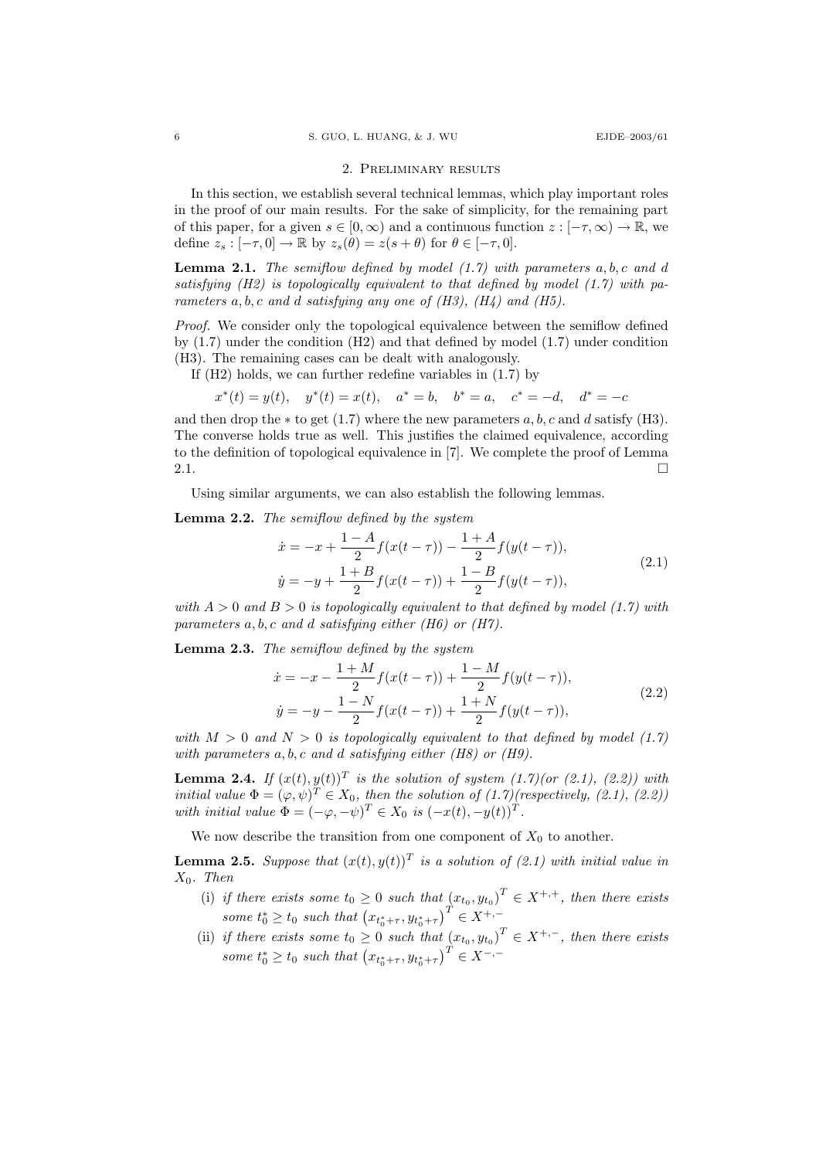#### 2. Preliminary results

In this section, we establish several technical lemmas, which play important roles in the proof of our main results. For the sake of simplicity, for the remaining part of this paper, for a given  $s \in [0,\infty)$  and a continuous function  $z : [-\tau,\infty) \to \mathbb{R}$ , we define  $z_s : [-\tau, 0] \to \mathbb{R}$  by  $z_s(\theta) = z(s + \theta)$  for  $\theta \in [-\tau, 0]$ .

**Lemma 2.1.** The semiflow defined by model  $(1.7)$  with parameters  $a, b, c$  and d satisfying  $(H2)$  is topologically equivalent to that defined by model  $(1.7)$  with parameters  $a, b, c$  and  $d$  satisfying any one of  $(H3)$ ,  $(H4)$  and  $(H5)$ .

Proof. We consider only the topological equivalence between the semiflow defined by  $(1.7)$  under the condition  $(H2)$  and that defined by model  $(1.7)$  under condition (H3). The remaining cases can be dealt with analogously.

If (H2) holds, we can further redefine variables in (1.7) by

$$
x^*(t) = y(t),
$$
  $y^*(t) = x(t),$   $a^* = b,$   $b^* = a,$   $c^* = -d,$   $d^* = -c$ 

and then drop the  $*$  to get (1.7) where the new parameters  $a, b, c$  and  $d$  satisfy (H3). The converse holds true as well. This justifies the claimed equivalence, according to the definition of topological equivalence in [7]. We complete the proof of Lemma 2.1.  $\Box$ 

Using similar arguments, we can also establish the following lemmas.

Lemma 2.2. The semiflow defined by the system

$$
\begin{aligned}\n\dot{x} &= -x + \frac{1-A}{2} f(x(t-\tau)) - \frac{1+A}{2} f(y(t-\tau)), \\
\dot{y} &= -y + \frac{1+B}{2} f(x(t-\tau)) + \frac{1-B}{2} f(y(t-\tau)),\n\end{aligned} \tag{2.1}
$$

with  $A > 0$  and  $B > 0$  is topologically equivalent to that defined by model (1.7) with parameters  $a, b, c$  and  $d$  satisfying either (H6) or (H7).

Lemma 2.3. The semiflow defined by the system

$$
\begin{aligned}\n\dot{x} &= -x - \frac{1+M}{2} f(x(t-\tau)) + \frac{1-M}{2} f(y(t-\tau)), \\
\dot{y} &= -y - \frac{1-N}{2} f(x(t-\tau)) + \frac{1+N}{2} f(y(t-\tau)),\n\end{aligned} \tag{2.2}
$$

with  $M > 0$  and  $N > 0$  is topologically equivalent to that defined by model (1.7) with parameters  $a, b, c$  and  $d$  satisfying either (H8) or (H9).

**Lemma 2.4.** If  $(x(t), y(t))^T$  is the solution of system  $(1.7)($ or  $(2.1), (2.2))$  with initial value  $\Phi = (\varphi, \psi)^T \in X_0$ , then the solution of  $(1.7)(respectively, (2.1), (2.2))$ with initial value  $\Phi = (-\varphi, -\psi)^T \in X_0$  is  $(-x(t), -y(t))^T$ .

We now describe the transition from one component of  $X_0$  to another.

**Lemma 2.5.** Suppose that  $(x(t), y(t))^T$  is a solution of (2.1) with initial value in X0. Then

- (i) if there exists some  $t_0 \geq 0$  such that  $(x_{t_0}, y_{t_0})^T \in X^{+,+}$ , then there exists some  $t_0^* \ge t_0$  such that  $(x_{t_0^* + \tau}, y_{t_0^* + \tau})^T \in X^{+,-}$
- (ii) if there exists some  $t_0 \geq 0$  such that  $(x_{t_0}, y_{t_0})^T \in X^{+,-}$ , then there exists some  $t_0^* \ge t_0$  such that  $(x_{t_0^* + \tau}, y_{t_0^* + \tau})^T \in X^{-,-}$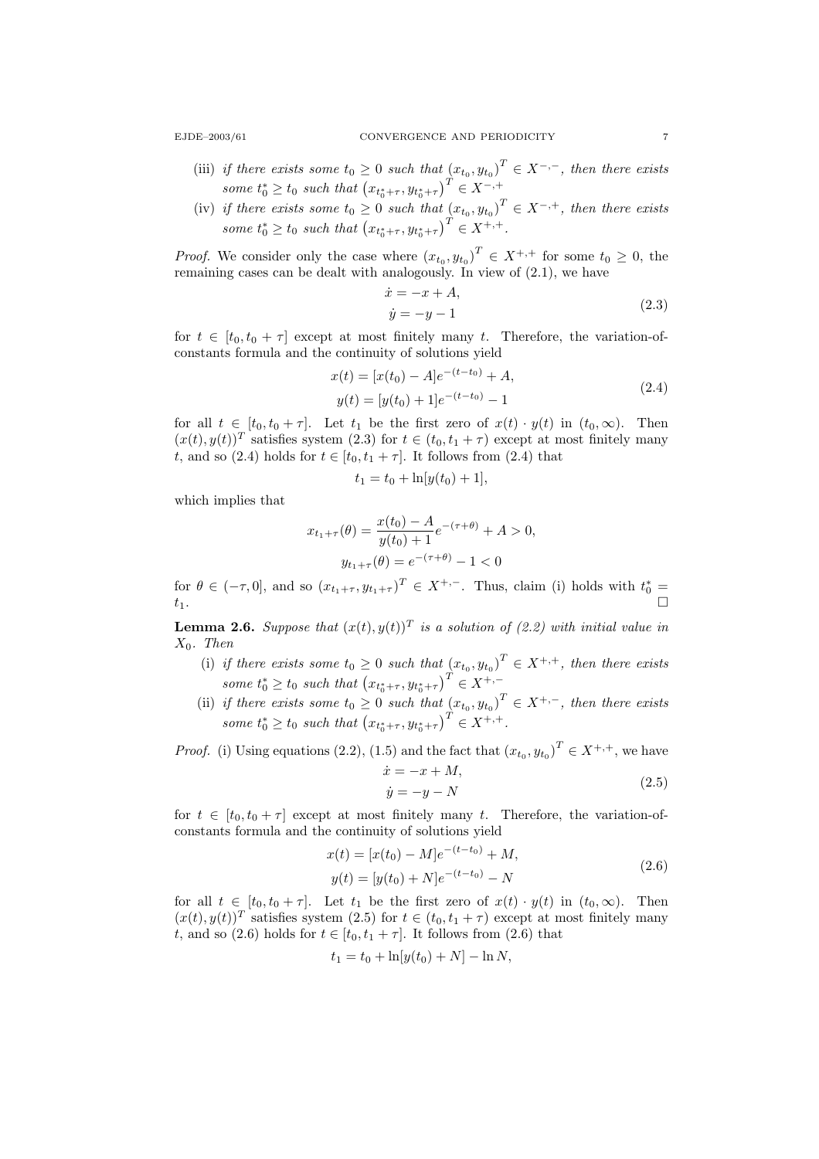- (iii) if there exists some  $t_0 \geq 0$  such that  $(x_{t_0}, y_{t_0})^T \in X^{-,-}$ , then there exists some  $t_0^* \ge t_0$  such that  $(x_{t_0^* + \tau}, y_{t_0^* + \tau})^T \in X^{-, +}$
- (iv) if there exists some  $t_0 \geq 0$  such that  $(x_{t_0}, y_{t_0})^T \in X^{-,+}$ , then there exists some  $t_0^* \ge t_0$  such that  $(x_{t_0^* + \tau}, y_{t_0^* + \tau})^T \in X^{+,+}.$

*Proof.* We consider only the case where  $(x_{t_0}, y_{t_0})^T \in X^{+,+}$  for some  $t_0 \geq 0$ , the remaining cases can be dealt with analogously. In view of (2.1), we have

$$
\begin{aligned}\n\dot{x} &= -x + A, \\
\dot{y} &= -y - 1\n\end{aligned} \tag{2.3}
$$

for  $t \in [t_0, t_0 + \tau]$  except at most finitely many t. Therefore, the variation-ofconstants formula and the continuity of solutions yield

$$
x(t) = [x(t_0) - A]e^{-(t-t_0)} + A,
$$
  
\n
$$
y(t) = [y(t_0) + 1]e^{-(t-t_0)} - 1
$$
\n(2.4)

for all  $t \in [t_0, t_0 + \tau]$ . Let  $t_1$  be the first zero of  $x(t) \cdot y(t)$  in  $(t_0, \infty)$ . Then  $(x(t), y(t))^T$  satisfies system (2.3) for  $t \in (t_0, t_1 + \tau)$  except at most finitely many t, and so (2.4) holds for  $t \in [t_0, t_1 + \tau]$ . It follows from (2.4) that

$$
t_1 = t_0 + \ln[y(t_0) + 1],
$$

which implies that

$$
x_{t_1+\tau}(\theta) = \frac{x(t_0) - A}{y(t_0) + 1} e^{-(\tau + \theta)} + A > 0,
$$
  

$$
y_{t_1+\tau}(\theta) = e^{-(\tau + \theta)} - 1 < 0
$$

for  $\theta \in (-\tau, 0]$ , and so  $(x_{t_1+\tau}, y_{t_1+\tau})^T \in X^{+,-}$ . Thus, claim (i) holds with  $t_0^* =$  $t_1$ .

**Lemma 2.6.** Suppose that  $(x(t), y(t))^T$  is a solution of (2.2) with initial value in  $X_0$ . Then

- (i) if there exists some  $t_0 \geq 0$  such that  $(x_{t_0}, y_{t_0})^T \in X^{+,+}$ , then there exists some  $t_0^* \ge t_0$  such that  $(x_{t_0^* + \tau}, y_{t_0^* + \tau})^T \in X^{+,-}$
- (ii) if there exists some  $t_0 \geq 0$  such that  $(x_{t_0}, y_{t_0})^T \in X^{+,-}$ , then there exists some  $t_0^* \ge t_0$  such that  $(x_{t_0^* + \tau}, y_{t_0^* + \tau})^T \in X^{+,+}.$

*Proof.* (i) Using equations (2.2), (1.5) and the fact that  $(x_{t_0}, y_{t_0})^T \in X^{+, +}$ , we have  $\dot{x} = -x + M$ ,

$$
\dot{y} = -y - N \tag{2.5}
$$

for  $t \in [t_0, t_0 + \tau]$  except at most finitely many t. Therefore, the variation-ofconstants formula and the continuity of solutions yield

$$
x(t) = [x(t_0) - M]e^{-(t-t_0)} + M,
$$
  
\n
$$
y(t) = [y(t_0) + N]e^{-(t-t_0)} - N
$$
\n(2.6)

for all  $t \in [t_0, t_0 + \tau]$ . Let  $t_1$  be the first zero of  $x(t) \cdot y(t)$  in  $(t_0, \infty)$ . Then  $(x(t), y(t))^T$  satisfies system (2.5) for  $t \in (t_0, t_1 + \tau)$  except at most finitely many t, and so (2.6) holds for  $t \in [t_0, t_1 + \tau]$ . It follows from (2.6) that

$$
t_1 = t_0 + \ln[y(t_0) + N] - \ln N,
$$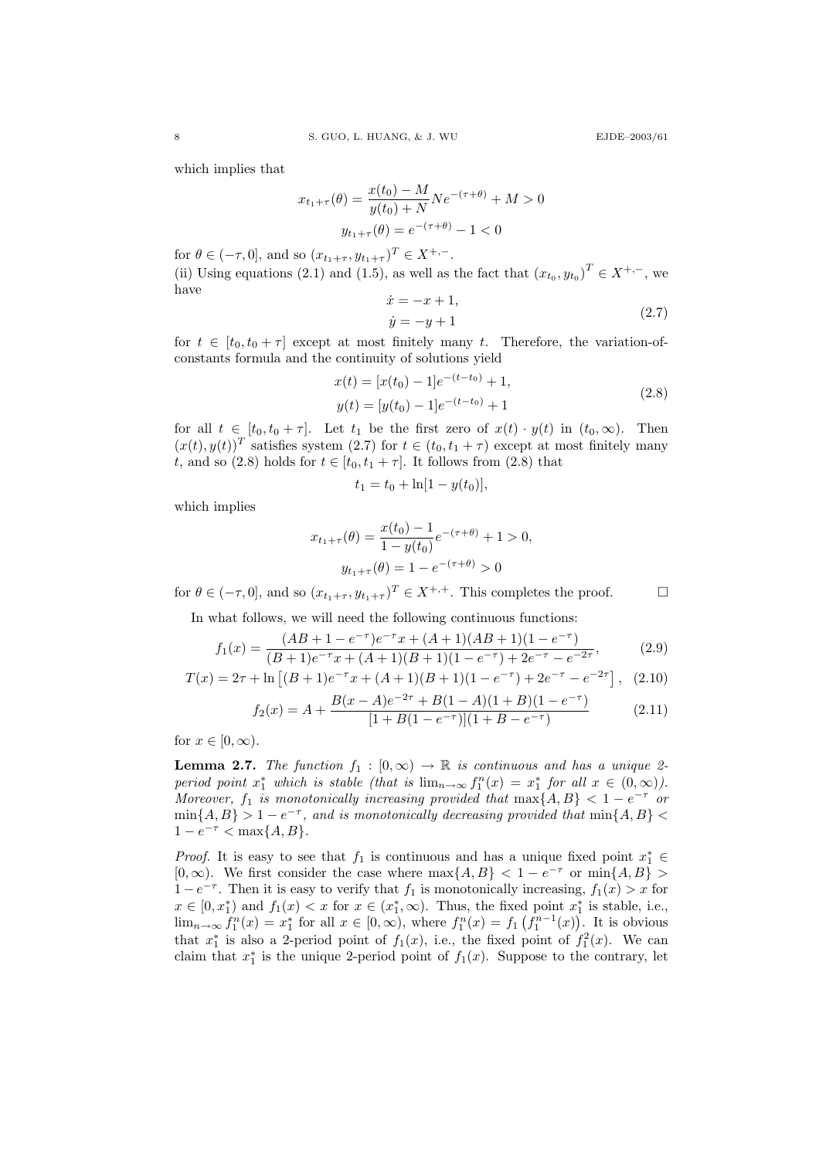which implies that

$$
x_{t_1+\tau}(\theta) = \frac{x(t_0) - M}{y(t_0) + N} N e^{-(\tau + \theta)} + M > 0
$$
  

$$
y_{t_1+\tau}(\theta) = e^{-(\tau + \theta)} - 1 < 0
$$

for  $\theta \in (-\tau, 0]$ , and so  $(x_{t_1+\tau}, y_{t_1+\tau})^T \in X^{+,-}$ . (ii) Using equations (2.1) and (1.5), as well as the fact that  $(x_{t_0}, y_{t_0})^T \in X^{+,-}$ , we have

$$
\begin{aligned}\n\dot{x} &= -x + 1, \\
\dot{y} &= -y + 1\n\end{aligned} \tag{2.7}
$$

for  $t \in [t_0, t_0 + \tau]$  except at most finitely many t. Therefore, the variation-ofconstants formula and the continuity of solutions yield

$$
x(t) = [x(t_0) - 1]e^{-(t-t_0)} + 1,
$$
  
\n
$$
y(t) = [y(t_0) - 1]e^{-(t-t_0)} + 1
$$
\n(2.8)

for all  $t \in [t_0, t_0 + \tau]$ . Let  $t_1$  be the first zero of  $x(t) \cdot y(t)$  in  $(t_0, \infty)$ . Then  $(x(t), y(t))^T$  satisfies system (2.7) for  $t \in (t_0, t_1 + \tau)$  except at most finitely many t, and so (2.8) holds for  $t \in [t_0, t_1 + \tau]$ . It follows from (2.8) that

$$
t_1 = t_0 + \ln[1 - y(t_0)],
$$

which implies

$$
x_{t_1+\tau}(\theta) = \frac{x(t_0) - 1}{1 - y(t_0)} e^{-(\tau + \theta)} + 1 > 0,
$$
  

$$
y_{t_1+\tau}(\theta) = 1 - e^{-(\tau + \theta)} > 0
$$

for  $\theta \in (-\tau, 0]$ , and so  $(x_{t_1+\tau}, y_{t_1+\tau})^T \in X^{+,+}$ . This completes the proof.

In what follows, we will need the following continuous functions:

$$
f_1(x) = \frac{(AB+1-e^{-\tau})e^{-\tau}x + (A+1)(AB+1)(1-e^{-\tau})}{(B+1)e^{-\tau}x + (A+1)(B+1)(1-e^{-\tau}) + 2e^{-\tau} - e^{-2\tau}},
$$
(2.9)

$$
T(x) = 2\tau + \ln\left[ (B+1)e^{-\tau}x + (A+1)(B+1)(1 - e^{-\tau}) + 2e^{-\tau} - e^{-2\tau} \right], (2.10)
$$

$$
f_2(x) = A + \frac{B(x - A)e^{-2\tau} + B(1 - A)(1 + B)(1 - e^{-\tau})}{[1 + B(1 - e^{-\tau})](1 + B - e^{-\tau})}
$$
(2.11)

for  $x \in [0, \infty)$ .

**Lemma 2.7.** The function  $f_1 : [0, \infty) \to \mathbb{R}$  is continuous and has a unique 2period point  $x_1^*$  which is stable (that is  $\lim_{n\to\infty} f_1^n(x) = x_1^*$  for all  $x \in (0,\infty)$ ). Moreover,  $f_1$  is monotonically increasing provided that  $\max\{A, B\} < 1 - e^{-\tau}$  or  $\min\{A, B\} > 1 - e^{-\tau}$ , and is monotonically decreasing provided that  $\min\{A, B\} <$  $1 - e^{-\tau} < \max\{A, B\}.$ 

*Proof.* It is easy to see that  $f_1$  is continuous and has a unique fixed point  $x_1^* \in$  $[0, \infty)$ . We first consider the case where  $\max\{A, B\} < 1 - e^{-\tau}$  or  $\min\{A, B\} > 1$  $1-e^{-\tau}$ . Then it is easy to verify that  $f_1$  is monotonically increasing,  $f_1(x) > x$  for  $x \in [0, x_1^*)$  and  $f_1(x) < x$  for  $x \in (x_1^*, \infty)$ . Thus, the fixed point  $x_1^*$  is stable, i.e.,  $\lim_{n\to\infty} f_1^n(x) = x_1^*$  for all  $x \in [0,\infty)$ , where  $f_1^n(x) = f_1(f_1^{n-1}(x))$ . It is obvious that  $x_1^*$  is also a 2-period point of  $f_1(x)$ , i.e., the fixed point of  $f_1^2(x)$ . We can claim that  $x_1^*$  is the unique 2-period point of  $f_1(x)$ . Suppose to the contrary, let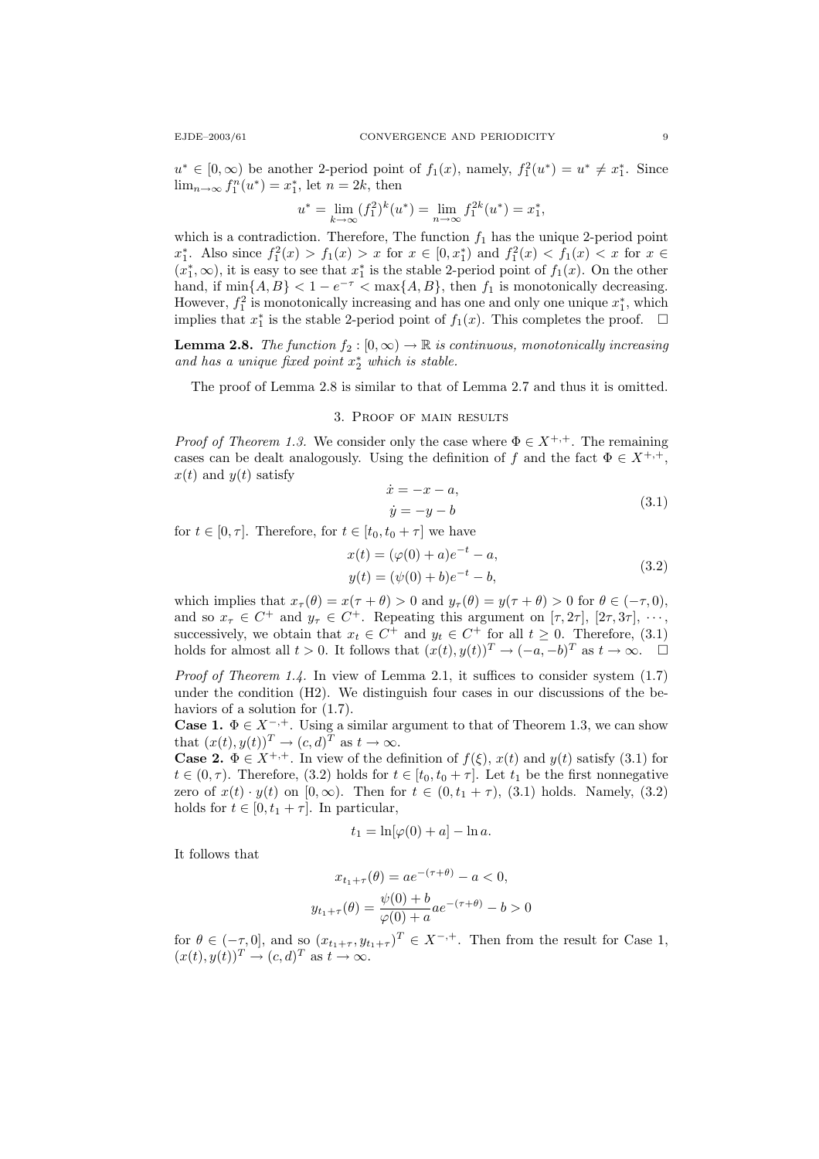$u^* \in [0, \infty)$  be another 2-period point of  $f_1(x)$ , namely,  $f_1^2(u^*) = u^* \neq x_1^*$ . Since  $\lim_{n\to\infty} f_1^n(u^*) = x_1^*$ , let  $n = 2k$ , then

$$
u^* = \lim_{k \to \infty} (f_1^2)^k (u^*) = \lim_{n \to \infty} f_1^{2k} (u^*) = x_1^*,
$$

which is a contradiction. Therefore, The function  $f_1$  has the unique 2-period point x<sup>\*</sup><sub>1</sub>. Also since  $f_1^2(x) > f_1(x) > x$  for  $x \in [0, x_1^*)$  and  $f_1^2(x) < f_1(x) < x$  for  $x \in$  $(x_1^*, \infty)$ , it is easy to see that  $x_1^*$  is the stable 2-period point of  $f_1(x)$ . On the other hand, if  $\min\{A, B\} < 1 - e^{-\tau} < \max\{A, B\}$ , then  $f_1$  is monotonically decreasing. However,  $f_1^2$  is monotonically increasing and has one and only one unique  $x_1^*$ , which implies that  $x_1^*$  is the stable 2-period point of  $f_1(x)$ . This completes the proof.  $\Box$ 

**Lemma 2.8.** The function  $f_2 : [0, \infty) \to \mathbb{R}$  is continuous, monotonically increasing and has a unique fixed point  $x_2^*$  which is stable.

The proof of Lemma 2.8 is similar to that of Lemma 2.7 and thus it is omitted.

### 3. Proof of main results

*Proof of Theorem 1.3.* We consider only the case where  $\Phi \in X^{+,+}$ . The remaining cases can be dealt analogously. Using the definition of f and the fact  $\Phi \in X^{+,+}$ ,  $x(t)$  and  $y(t)$  satisfy

$$
\begin{aligned}\n\dot{x} &= -x - a, \\
\dot{y} &= -y - b\n\end{aligned} \tag{3.1}
$$

for  $t \in [0, \tau]$ . Therefore, for  $t \in [t_0, t_0 + \tau]$  we have

$$
x(t) = (\varphi(0) + a)e^{-t} - a,
$$
  
\n
$$
y(t) = (\psi(0) + b)e^{-t} - b,
$$
\n(3.2)

which implies that  $x_\tau(\theta) = x(\tau + \theta) > 0$  and  $y_\tau(\theta) = y(\tau + \theta) > 0$  for  $\theta \in (-\tau, 0)$ , and so  $x_{\tau} \in C^+$  and  $y_{\tau} \in C^+$ . Repeating this argument on  $[\tau, 2\tau]$ ,  $[2\tau, 3\tau]$ ,  $\cdots$ , successively, we obtain that  $x_t \in C^+$  and  $y_t \in C^+$  for all  $t \geq 0$ . Therefore, (3.1) holds for almost all  $t > 0$ . It follows that  $(x(t), y(t))^T \to (-a, -b)^T$  as  $t \to \infty$ .  $\Box$ 

Proof of Theorem 1.4. In view of Lemma 2.1, it suffices to consider system  $(1.7)$ under the condition (H2). We distinguish four cases in our discussions of the behaviors of a solution for  $(1.7)$ .

**Case 1.**  $\Phi \in X^{-, +}$ . Using a similar argument to that of Theorem 1.3, we can show that  $(x(t), y(t))^T \to (c, d)^T$  as  $t \to \infty$ .

**Case 2.**  $\Phi \in X^{+,+}$ . In view of the definition of  $f(\xi)$ ,  $x(t)$  and  $y(t)$  satisfy (3.1) for  $t \in (0, \tau)$ . Therefore, (3.2) holds for  $t \in [t_0, t_0 + \tau]$ . Let  $t_1$  be the first nonnegative zero of  $x(t) \cdot y(t)$  on  $[0,\infty)$ . Then for  $t \in (0,t_1 + \tau)$ , (3.1) holds. Namely, (3.2) holds for  $t \in [0, t_1 + \tau]$ . In particular,

$$
t_1 = \ln[\varphi(0) + a] - \ln a.
$$

It follows that

$$
x_{t_1+\tau}(\theta) = ae^{-(\tau+\theta)} - a < 0,
$$
\n
$$
y_{t_1+\tau}(\theta) = \frac{\psi(0) + b}{\varphi(0) + a}ae^{-(\tau+\theta)} - b > 0
$$

for  $\theta \in (-\tau, 0]$ , and so  $(x_{t_1+\tau}, y_{t_1+\tau})^T \in X^{-, +}$ . Then from the result for Case 1,  $(x(t), y(t))^T \to (c, d)^T$  as  $t \to \infty$ .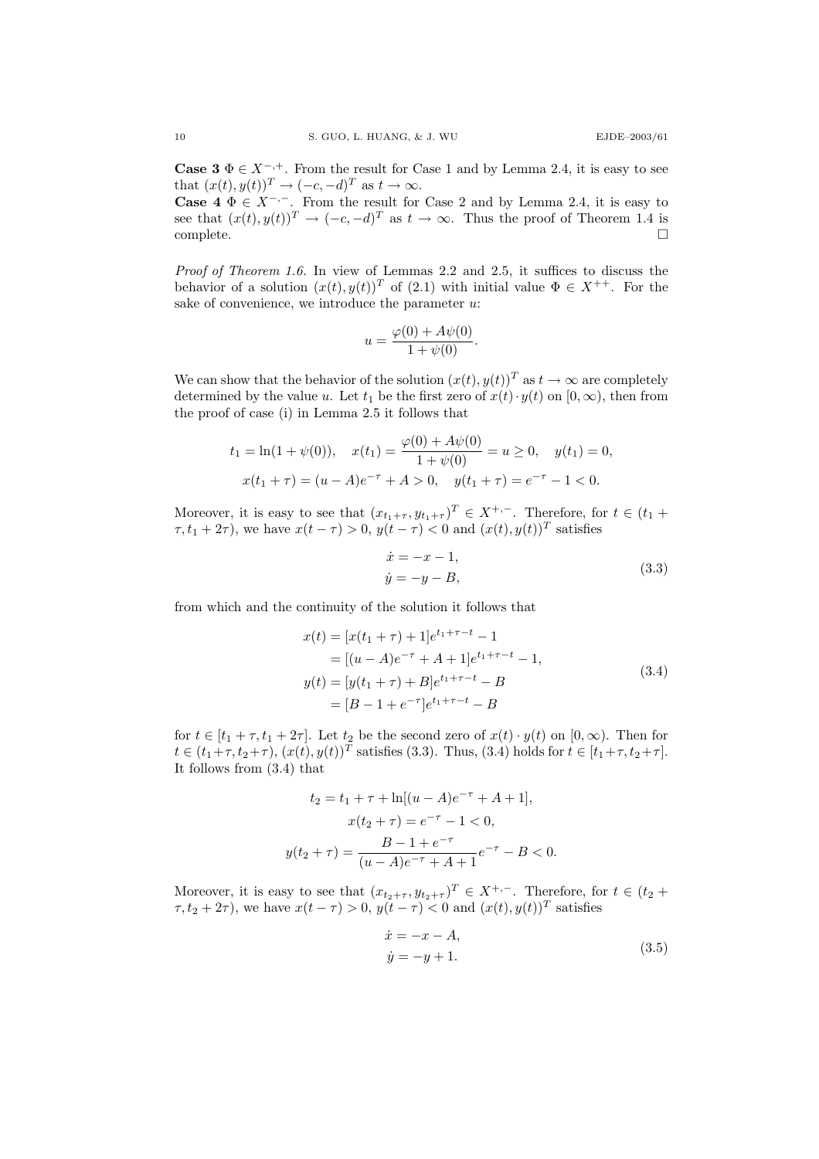**Case 3**  $\Phi \in X^{-, +}$ . From the result for Case 1 and by Lemma 2.4, it is easy to see that  $(x(t), y(t))^T \to (-c, -d)^T$  as  $t \to \infty$ .

Case 4  $\Phi$  ∈  $X^{-,-}$ . From the result for Case 2 and by Lemma 2.4, it is easy to see that  $(x(t), y(t))^T \rightarrow (-c, -d)^T$  as  $t \rightarrow \infty$ . Thus the proof of Theorem 1.4 is  $\Box$ complete.  $\Box$ 

Proof of Theorem 1.6. In view of Lemmas 2.2 and 2.5, it suffices to discuss the behavior of a solution  $(x(t), y(t))^T$  of  $(2.1)$  with initial value  $\Phi \in X^{++}$ . For the sake of convenience, we introduce the parameter  $u$ :

$$
u = \frac{\varphi(0) + A\psi(0)}{1 + \psi(0)}.
$$

We can show that the behavior of the solution  $(x(t), y(t))^T$  as  $t \to \infty$  are completely determined by the value u. Let  $t_1$  be the first zero of  $x(t) \cdot y(t)$  on  $[0, \infty)$ , then from the proof of case (i) in Lemma 2.5 it follows that

$$
t_1 = \ln(1 + \psi(0)), \quad x(t_1) = \frac{\varphi(0) + A\psi(0)}{1 + \psi(0)} = u \ge 0, \quad y(t_1) = 0,
$$
  

$$
x(t_1 + \tau) = (u - A)e^{-\tau} + A > 0, \quad y(t_1 + \tau) = e^{-\tau} - 1 < 0.
$$

Moreover, it is easy to see that  $(x_{t_1+\tau}, y_{t_1+\tau})^T \in X^{+,-}$ . Therefore, for  $t \in (t_1 +$  $\tau, t_1 + 2\tau$ , we have  $x(t - \tau) > 0$ ,  $y(t - \tau) < 0$  and  $(x(t), y(t))^T$  satisfies

$$
\begin{aligned}\n\dot{x} &= -x - 1, \\
\dot{y} &= -y - B,\n\end{aligned} \tag{3.3}
$$

from which and the continuity of the solution it follows that

$$
x(t) = [x(t_1 + \tau) + 1]e^{t_1 + \tau - t} - 1
$$
  
\n
$$
= [(u - A)e^{-\tau} + A + 1]e^{t_1 + \tau - t} - 1,
$$
  
\n
$$
y(t) = [y(t_1 + \tau) + B]e^{t_1 + \tau - t} - B
$$
  
\n
$$
= [B - 1 + e^{-\tau}]e^{t_1 + \tau - t} - B
$$
\n(3.4)

for  $t \in [t_1 + \tau, t_1 + 2\tau]$ . Let  $t_2$  be the second zero of  $x(t) \cdot y(t)$  on  $[0, \infty)$ . Then for  $t \in (t_1 + \tau, t_2 + \tau), (x(t), y(t))^T$  satisfies (3.3). Thus, (3.4) holds for  $t \in [t_1 + \tau, t_2 + \tau]$ . It follows from (3.4) that

$$
t_2 = t_1 + \tau + \ln[(u - A)e^{-\tau} + A + 1],
$$
  
\n
$$
x(t_2 + \tau) = e^{-\tau} - 1 < 0,
$$
  
\n
$$
y(t_2 + \tau) = \frac{B - 1 + e^{-\tau}}{(u - A)e^{-\tau} + A + 1}e^{-\tau} - B < 0.
$$

Moreover, it is easy to see that  $(x_{t_2+\tau}, y_{t_2+\tau})^T \in X^{+,-}$ . Therefore, for  $t \in (t_2 +$  $\tau, t_2 + 2\tau$ , we have  $x(t - \tau) > 0$ ,  $y(t - \tau) < 0$  and  $(x(t), y(t))^T$  satisfies

$$
\begin{aligned}\n\dot{x} &= -x - A, \\
\dot{y} &= -y + 1.\n\end{aligned} \tag{3.5}
$$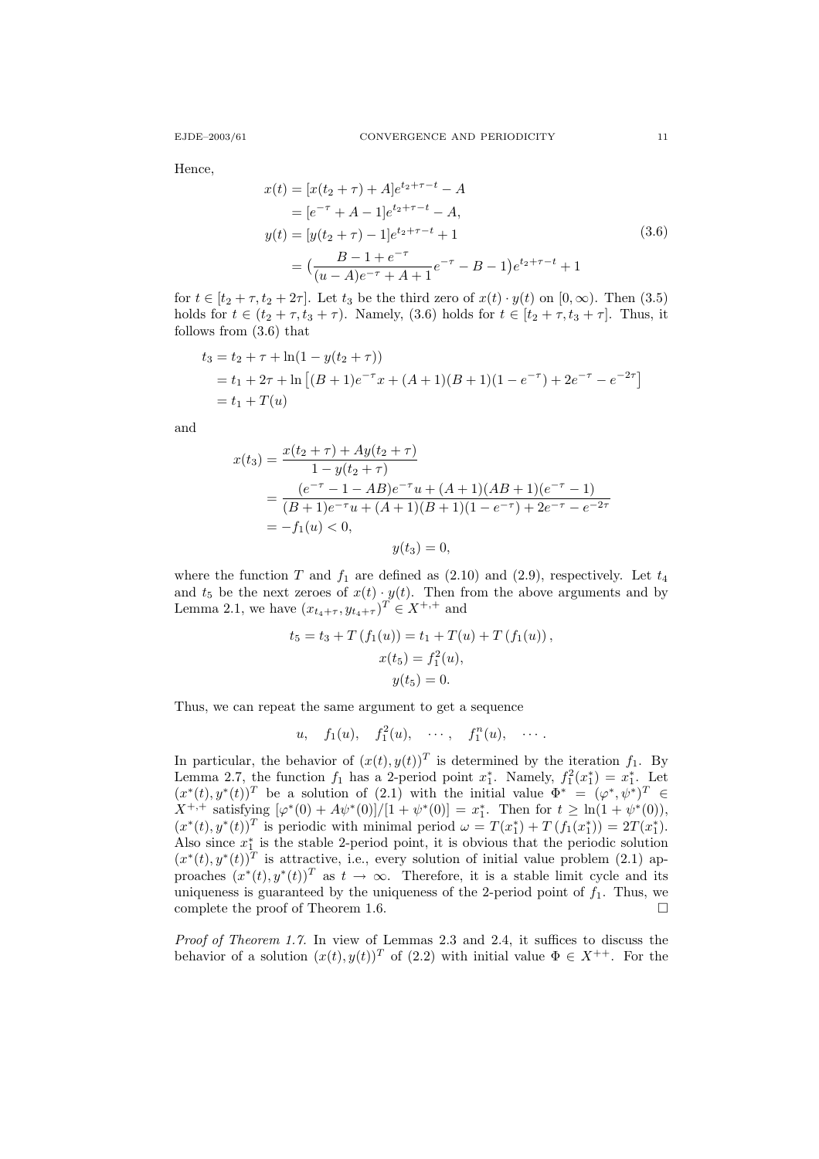Hence,

$$
x(t) = [x(t_2 + \tau) + A]e^{t_2 + \tau - t} - A
$$
  
\n
$$
= [e^{-\tau} + A - 1]e^{t_2 + \tau - t} - A,
$$
  
\n
$$
y(t) = [y(t_2 + \tau) - 1]e^{t_2 + \tau - t} + 1
$$
  
\n
$$
= \left(\frac{B - 1 + e^{-\tau}}{(u - A)e^{-\tau} + A + 1}e^{-\tau} - B - 1\right)e^{t_2 + \tau - t} + 1
$$
\n(3.6)

for  $t \in [t_2 + \tau, t_2 + 2\tau]$ . Let  $t_3$  be the third zero of  $x(t) \cdot y(t)$  on  $[0, \infty)$ . Then  $(3.5)$ holds for  $t \in (t_2 + \tau, t_3 + \tau)$ . Namely, (3.6) holds for  $t \in [t_2 + \tau, t_3 + \tau]$ . Thus, it follows from (3.6) that

$$
t_3 = t_2 + \tau + \ln(1 - y(t_2 + \tau))
$$
  
= t\_1 + 2\tau + \ln [(B + 1)e^{-\tau}x + (A + 1)(B + 1)(1 - e^{-\tau}) + 2e^{-\tau} - e^{-2\tau}]  
= t\_1 + T(u)

and

$$
x(t_3) = \frac{x(t_2 + \tau) + Ay(t_2 + \tau)}{1 - y(t_2 + \tau)}
$$
  
= 
$$
\frac{(e^{-\tau} - 1 - AB)e^{-\tau}u + (A + 1)(AB + 1)(e^{-\tau} - 1)}{(B + 1)e^{-\tau}u + (A + 1)(B + 1)(1 - e^{-\tau}) + 2e^{-\tau} - e^{-2\tau}}
$$
  
= 
$$
-f_1(u) < 0,
$$

$$
y(t_3) = 0,
$$

where the function T and  $f_1$  are defined as (2.10) and (2.9), respectively. Let  $t_4$ and  $t_5$  be the next zeroes of  $x(t) \cdot y(t)$ . Then from the above arguments and by Lemma 2.1, we have  $(x_{t_4+\tau}, y_{t_4+\tau})^T \in X^{+,+}$  and

$$
t_5 = t_3 + T(f_1(u)) = t_1 + T(u) + T(f_1(u))
$$

$$
x(t_5) = f_1^2(u),
$$

$$
y(t_5) = 0.
$$

Thus, we can repeat the same argument to get a sequence

$$
u, \quad f_1(u), \quad f_1^2(u), \quad \cdots, \quad f_1^n(u), \quad \cdots.
$$

In particular, the behavior of  $(x(t), y(t))^T$  is determined by the iteration  $f_1$ . By Lemma 2.7, the function  $f_1$  has a 2-period point  $x_1^*$ . Namely,  $f_1^2(x_1^*) = x_1^*$ . Let Lemma 2.1, the function  $f_1$  has a 2-period point  $x_1$ . Namely,  $f_1(x_1) = x_1$ . Let  $(x^*(t), y^*(t))^T$  be a solution of (2.1) with the initial value  $\Phi^* = (\varphi^*, \psi^*)^T \in$  $X^{+,+}$  satisfying  $[\varphi^*(0) + A\psi^*(0)]/[1 + \psi^*(0)] = x_1^*$ . Then for  $t \geq \ln(1 + \psi^*(0)),$  $(x^*(t), y^*(t))^T$  is periodic with minimal period  $\omega = T(x_1^*) + T(f_1(x_1^*)) = 2T(x_1^*)$ . Also since  $x_{\perp}^*$  is the stable 2-period point, it is obvious that the periodic solution  $(x^*(t), y^*(t))^T$  is attractive, i.e., every solution of initial value problem (2.1) approaches  $(x^*(t), y^*(t))^T$  as  $t \to \infty$ . Therefore, it is a stable limit cycle and its uniqueness is guaranteed by the uniqueness of the 2-period point of  $f_1$ . Thus, we complete the proof of Theorem 1.6.  $\Box$ 

Proof of Theorem 1.7. In view of Lemmas 2.3 and 2.4, it suffices to discuss the behavior of a solution  $(x(t), y(t))^T$  of (2.2) with initial value  $\Phi \in X^{++}$ . For the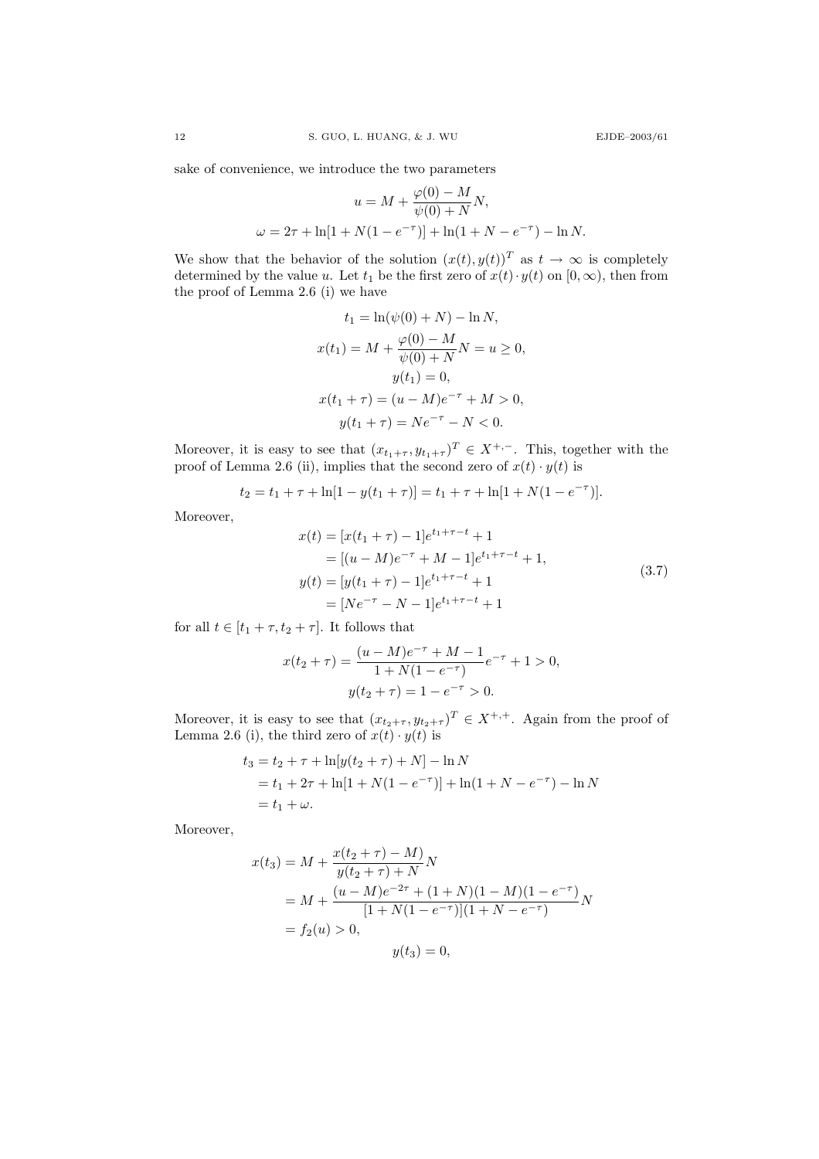sake of convenience, we introduce the two parameters

$$
u = M + \frac{\varphi(0) - M}{\psi(0) + N} N,
$$
  

$$
\omega = 2\tau + \ln[1 + N(1 - e^{-\tau})] + \ln(1 + N - e^{-\tau}) - \ln N.
$$

We show that the behavior of the solution  $(x(t), y(t))^T$  as  $t \to \infty$  is completely determined by the value u. Let  $t_1$  be the first zero of  $x(t) \cdot y(t)$  on  $[0, \infty)$ , then from the proof of Lemma 2.6 (i) we have

$$
t_1 = \ln(\psi(0) + N) - \ln N,
$$
  
\n
$$
x(t_1) = M + \frac{\varphi(0) - M}{\psi(0) + N}N = u \ge 0,
$$
  
\n
$$
y(t_1) = 0,
$$
  
\n
$$
x(t_1 + \tau) = (u - M)e^{-\tau} + M > 0,
$$
  
\n
$$
y(t_1 + \tau) = Ne^{-\tau} - N < 0.
$$

Moreover, it is easy to see that  $(x_{t_1+\tau}, y_{t_1+\tau})^T \in X^{+,-}$ . This, together with the proof of Lemma 2.6 (ii), implies that the second zero of  $x(t) \cdot y(t)$  is

$$
t_2 = t_1 + \tau + \ln[1 - y(t_1 + \tau)] = t_1 + \tau + \ln[1 + N(1 - e^{-\tau})].
$$

Moreover,

$$
x(t) = [x(t_1 + \tau) - 1]e^{t_1 + \tau - t} + 1
$$
  
= [(u - M)e<sup>-\tau</sup> + M - 1]e<sup>t\_1 + \tau - t</sup> + 1,  

$$
y(t) = [y(t_1 + \tau) - 1]e^{t_1 + \tau - t} + 1
$$
  
= [Ne<sup>-\tau</sup> - N - 1]e<sup>t\_1 + \tau - t</sup> + 1

for all  $t \in [t_1 + \tau, t_2 + \tau]$ . It follows that

$$
x(t_2 + \tau) = \frac{(u - M)e^{-\tau} + M - 1}{1 + N(1 - e^{-\tau})}e^{-\tau} + 1 > 0,
$$
  

$$
y(t_2 + \tau) = 1 - e^{-\tau} > 0.
$$

Moreover, it is easy to see that  $(x_{t_2+\tau}, y_{t_2+\tau})^T \in X^{+,+}$ . Again from the proof of Lemma 2.6 (i), the third zero of  $x(t) \cdot y(t)$  is

$$
t_3 = t_2 + \tau + \ln[y(t_2 + \tau) + N] - \ln N
$$
  
= t\_1 + 2\tau + \ln[1 + N(1 - e^{-\tau})] + \ln(1 + N - e^{-\tau}) - \ln N  
= t\_1 + \omega.

Moreover,

$$
x(t_3) = M + \frac{x(t_2 + \tau) - M}{y(t_2 + \tau) + N}N
$$
  
= M +  $\frac{(u - M)e^{-2\tau} + (1 + N)(1 - M)(1 - e^{-\tau})}{[1 + N(1 - e^{-\tau})](1 + N - e^{-\tau})}N$   
=  $f_2(u) > 0$ ,  
 $y(t_3) = 0$ ,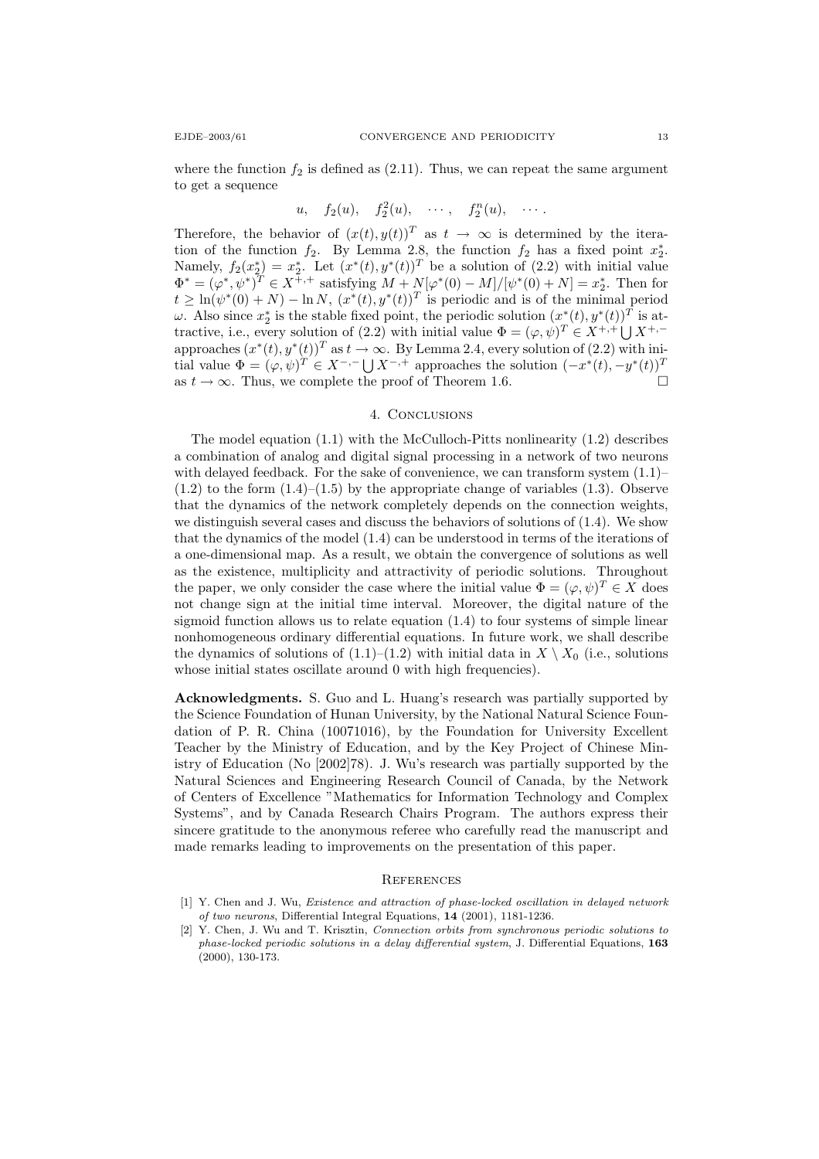where the function  $f_2$  is defined as  $(2.11)$ . Thus, we can repeat the same argument to get a sequence

 $u, f_2(u), f_2^2(u), \cdots, f_2^n(u), \cdots$ 

Therefore, the behavior of  $(x(t), y(t))^T$  as  $t \to \infty$  is determined by the iteration of the function  $f_2$ . By Lemma 2.8, the function  $f_2$  has a fixed point  $x_2^*$ . Namely,  $f_2(x_2^*) = x_2^*$ . Let  $(x^*(t), y^*(t))^T$  be a solution of  $(2.2)$  with initial value  $\Phi^* = (\varphi^*, \psi^*)^T \in X^{+,+}$  satisfying  $M + N[\varphi^*(0) - M]/[\psi^*(0) + N] = x_2^*$ . Then for  $t \geq \ln(\psi^*(0) + N) - \ln N$ ,  $(x^*(t), y^*(t))^T$  is periodic and is of the minimal period ω. Also since  $x_2^*$  is the stable fixed point, the periodic solution  $(x^*(t), y^*(t))^T$  is at- $\omega$ . Also since  $x_2$  is the stable fixed point, the periodic solution  $(x(t), y(t))$  is attractive, i.e., every solution of (2.2) with initial value  $\Phi = (\varphi, \psi)^T \in X^{+,+} \cup X^{+,-}$ approaches  $(x^*(t), y^*(t))^T$  as  $t \to \infty$ . By Lemma 2.4, every solution of (2.2) with initial value  $\Phi = (\varphi, \psi)^T \in X^{-,-} \cup X^{-,+}$  approaches the solution  $(-x^*(t), -y^*(t))^T$ as  $t \to \infty$ . Thus, we complete the proof of Theorem 1.6.

# 4. Conclusions

The model equation  $(1.1)$  with the McCulloch-Pitts nonlinearity  $(1.2)$  describes a combination of analog and digital signal processing in a network of two neurons with delayed feedback. For the sake of convenience, we can transform system  $(1.1)$ –  $(1.2)$  to the form  $(1.4)$ – $(1.5)$  by the appropriate change of variables  $(1.3)$ . Observe that the dynamics of the network completely depends on the connection weights, we distinguish several cases and discuss the behaviors of solutions of (1.4). We show that the dynamics of the model (1.4) can be understood in terms of the iterations of a one-dimensional map. As a result, we obtain the convergence of solutions as well as the existence, multiplicity and attractivity of periodic solutions. Throughout the paper, we only consider the case where the initial value  $\Phi = (\varphi, \psi)^T \in X$  does not change sign at the initial time interval. Moreover, the digital nature of the sigmoid function allows us to relate equation (1.4) to four systems of simple linear nonhomogeneous ordinary differential equations. In future work, we shall describe the dynamics of solutions of  $(1.1)$ – $(1.2)$  with initial data in  $X \setminus X_0$  (i.e., solutions whose initial states oscillate around 0 with high frequencies).

Acknowledgments. S. Guo and L. Huang's research was partially supported by the Science Foundation of Hunan University, by the National Natural Science Foundation of P. R. China (10071016), by the Foundation for University Excellent Teacher by the Ministry of Education, and by the Key Project of Chinese Ministry of Education (No [2002]78). J. Wu's research was partially supported by the Natural Sciences and Engineering Research Council of Canada, by the Network of Centers of Excellence "Mathematics for Information Technology and Complex Systems", and by Canada Research Chairs Program. The authors express their sincere gratitude to the anonymous referee who carefully read the manuscript and made remarks leading to improvements on the presentation of this paper.

#### **REFERENCES**

- [1] Y. Chen and J. Wu, Existence and attraction of phase-locked oscillation in delayed network of two neurons, Differential Integral Equations, 14 (2001), 1181-1236.
- [2] Y. Chen, J. Wu and T. Krisztin, Connection orbits from synchronous periodic solutions to phase-locked periodic solutions in a delay differential system, J. Differential Equations,  $163$ (2000), 130-173.